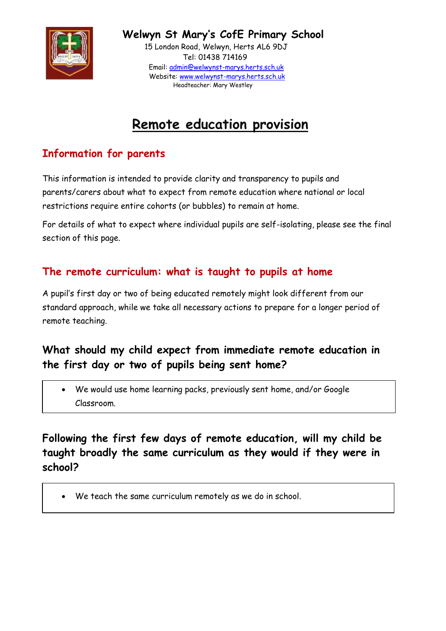

 **Welwyn St Mary's CofE Primary School**

 15 London Road, Welwyn, Herts AL6 9DJ Tel: 01438 714169 Email: [admin@welwynst-marys.herts.sch.uk](mailto:admin@welwynst-marys.herts.sch.uk) Website: [www.welwynst-marys.herts.sch.uk](http://www.welwynst-marys.herts.sch.uk/) Headteacher: Mary Westley

# **Remote education provision**

# **Information for parents**

This information is intended to provide clarity and transparency to pupils and parents/carers about what to expect from remote education where national or local restrictions require entire cohorts (or bubbles) to remain at home.

For details of what to expect where individual pupils are self-isolating, please see the final section of this page.

# **The remote curriculum: what is taught to pupils at home**

A pupil's first day or two of being educated remotely might look different from our standard approach, while we take all necessary actions to prepare for a longer period of remote teaching.

# **What should my child expect from immediate remote education in the first day or two of pupils being sent home?**

 We would use home learning packs, previously sent home, and/or Google Classroom.

**Following the first few days of remote education, will my child be taught broadly the same curriculum as they would if they were in school?**

We teach the same curriculum remotely as we do in school.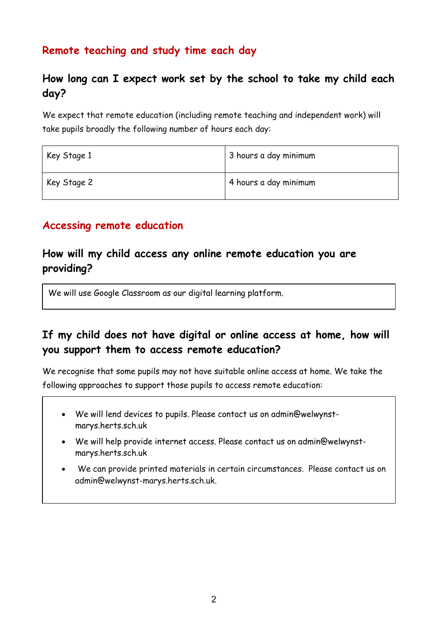# **Remote teaching and study time each day**

## **How long can I expect work set by the school to take my child each day?**

We expect that remote education (including remote teaching and independent work) will take pupils broadly the following number of hours each day:

| Key Stage 1 | 3 hours a day minimum |
|-------------|-----------------------|
| Key Stage 2 | 4 hours a day minimum |

#### **Accessing remote education**

#### **How will my child access any online remote education you are providing?**

We will use Google Classroom as our digital learning platform.

# **If my child does not have digital or online access at home, how will you support them to access remote education?**

We recognise that some pupils may not have suitable online access at home. We take the following approaches to support those pupils to access remote education:

- We will lend devices to pupils. Please contact us on admin@welwynstmarys.herts.sch.uk
- We will help provide internet access. Please contact us on admin@welwynstmarys.herts.sch.uk
- We can provide printed materials in certain circumstances. Please contact us on [admin@welwynst-marys.herts.sch.uk.](mailto:admin@welwynst-marys.herts.sch.uk)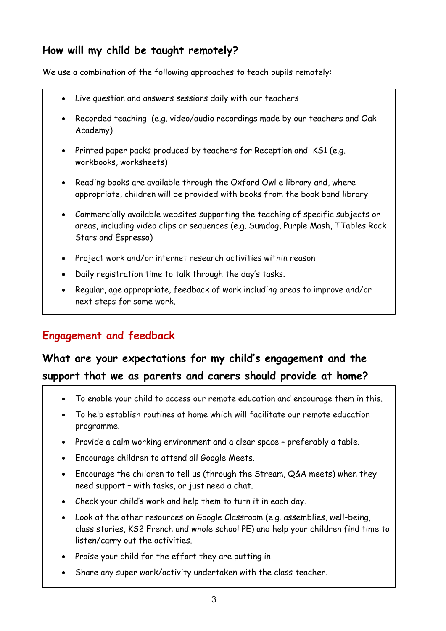# **How will my child be taught remotely?**

We use a combination of the following approaches to teach pupils remotely:

- Live question and answers sessions daily with our teachers
- Recorded teaching (e.g. video/audio recordings made by our teachers and Oak Academy)
- Printed paper packs produced by teachers for Reception and KS1 (e.g. workbooks, worksheets)
- Reading books are available through the Oxford Owl e library and, where appropriate, children will be provided with books from the book band library
- Commercially available websites supporting the teaching of specific subjects or areas, including video clips or sequences (e.g. Sumdog, Purple Mash, TTables Rock Stars and Espresso)
- Project work and/or internet research activities within reason
- Daily registration time to talk through the day's tasks.
- Regular, age appropriate, feedback of work including areas to improve and/or next steps for some work.

# **Engagement and feedback**

# **What are your expectations for my child's engagement and the support that we as parents and carers should provide at home?**

- To enable your child to access our remote education and encourage them in this.
- To help establish routines at home which will facilitate our remote education programme.
- Provide a calm working environment and a clear space preferably a table.
- Encourage children to attend all Google Meets.
- Encourage the children to tell us (through the Stream, Q&A meets) when they need support – with tasks, or just need a chat.
- Check your child's work and help them to turn it in each day.
- Look at the other resources on Google Classroom (e.g. assemblies, well-being, class stories, KS2 French and whole school PE) and help your children find time to listen/carry out the activities.
- Praise your child for the effort they are putting in.
- Share any super work/activity undertaken with the class teacher.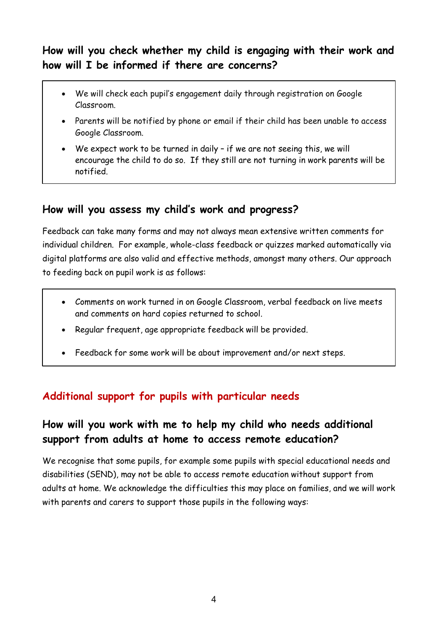## **How will you check whether my child is engaging with their work and how will I be informed if there are concerns?**

- We will check each pupil's engagement daily through registration on Google Classroom.
- Parents will be notified by phone or email if their child has been unable to access Google Classroom.
- We expect work to be turned in daily if we are not seeing this, we will encourage the child to do so. If they still are not turning in work parents will be notified.

#### **How will you assess my child's work and progress?**

Feedback can take many forms and may not always mean extensive written comments for individual children. For example, whole-class feedback or quizzes marked automatically via digital platforms are also valid and effective methods, amongst many others. Our approach to feeding back on pupil work is as follows:

- Comments on work turned in on Google Classroom, verbal feedback on live meets and comments on hard copies returned to school.
- Regular frequent, age appropriate feedback will be provided.
- Feedback for some work will be about improvement and/or next steps.

#### **Additional support for pupils with particular needs**

#### **How will you work with me to help my child who needs additional support from adults at home to access remote education?**

We recognise that some pupils, for example some pupils with special educational needs and disabilities (SEND), may not be able to access remote education without support from adults at home. We acknowledge the difficulties this may place on families, and we will work with parents and carers to support those pupils in the following ways: